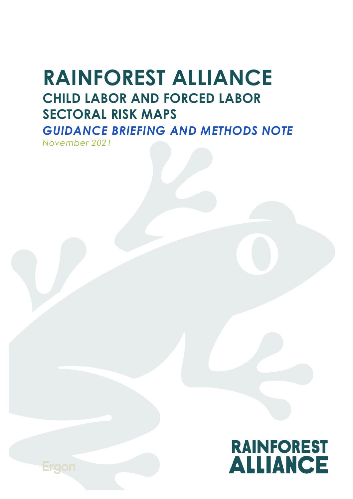# **RAINFOREST ALLIANCE CHILD LABOR AND FORCED LABOR SECTORAL RISK MAPS** *GUIDANCE BRIEFING AND METHODS NOTE*

*November 2021*



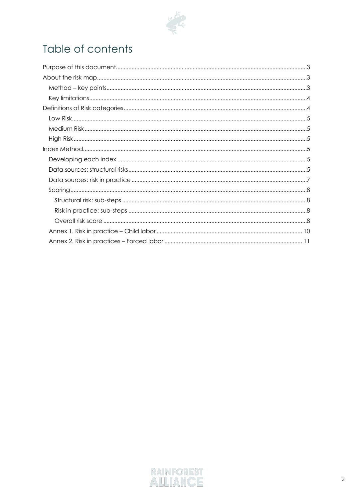

## Table of contents

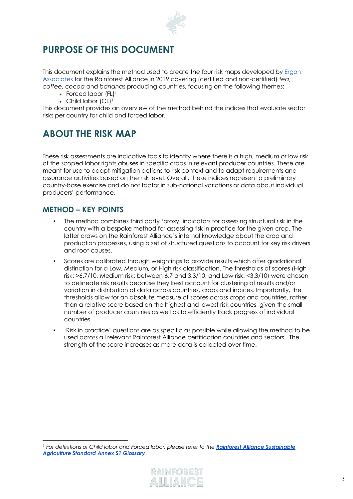

## <span id="page-2-0"></span>**PURPOSE OF THIS DOCUMENT**

This document explains the method used to create the four risk maps developed by Ergon [Associates](https://ergonassociates.net/) for the Rainforest Alliance in 2019 covering (certified and non-certified) *tea*, *coffee*, *cocoa* and *bananas* producing countries, focusing on the following themes:

- Forced labor (FL)<sup>1</sup>
- Child labor (CL)<sup>1</sup>

This document provides an overview of the method behind the indices that evaluate sector risks per country for child and forced labor.

## <span id="page-2-1"></span>**ABOUT THE RISK MAP**

These risk assessments are indicative tools to identify where there is a high, medium or low risk of the scoped labor rights abuses in specific crops in relevant producer countries. These are meant for use to adapt mitigation actions to risk context and to adapt requirements and assurance activities based on the risk level. Overall, these indices represent a preliminary country-base exercise and do not factor in sub-national variations or data about individual producers' performance.

#### <span id="page-2-2"></span>**METHOD – KEY POINTS**

- The method combines third party 'proxy' indicators for assessing structural risk in the country with a bespoke method for assessing risk in practice for the given crop. The latter draws on the Rainforest Alliance's internal knowledge about the crop and production processes, using a set of structured questions to account for key risk drivers and root causes.
- Scores are calibrated through weightings to provide results which offer gradational distinction for a Low, Medium, or High risk classification. The thresholds of scores (High risk: >6.7/10, Medium risk: between 6.7 and 3.3/10, and Low risk: <3.3/10) were chosen to delineate risk results because they best account for clustering of results and/or variation in distribution of data across countries, crops and indices. Importantly, the thresholds allow for an absolute measure of scores across crops and countries, rather than a relative score based on the highest and lowest risk countries, given the small number of producer countries as well as to efficiently track progress of individual countries.
- 'Risk in practice' questions are as specific as possible while allowing the method to be used across all relevant Rainforest Alliance certification countries and sectors. The strength of the score increases as more data is collected over time.

*<sup>1</sup> For definitions of Child labor and Forced labor, please refer to the [Rainforest Alliance](https://www.rainforest-alliance.org/business/wp-content/uploads/2020/06/Annex-1-Glossary.pdf) Sustainable [Agriculture Standard Annex S1 Glossary](https://www.rainforest-alliance.org/business/wp-content/uploads/2020/06/Annex-1-Glossary.pdf)*

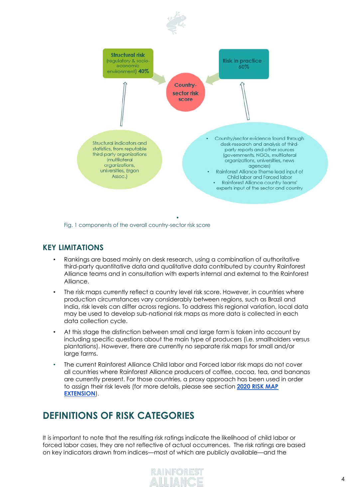

Fig. 1 components of the overall country-sector risk score

#### <span id="page-3-0"></span>**KEY LIMITATIONS**

- Rankings are based mainly on desk research, using a combination of authoritative third-party quantitative data and qualitative data contributed by country Rainforest Alliance teams and in consultation with experts internal and external to the Rainforest Alliance.
- The risk maps currently reflect a country level risk score. However, in countries where production circumstances vary considerably between regions, such as Brazil and India, risk levels can differ across regions. To address this regional variation, local data may be used to develop sub-national risk maps as more data is collected in each data collection cycle.
- At this stage the distinction between small and large farm is taken into account by including specific questions about the main type of producers (i.e. smallholders versus plantations). However, there are currently no separate risk maps for small and/or large farms.
- The current Rainforest Alliance Child labor and Forced labor risk maps do not cover all countries where Rainforest Alliance producers of coffee, cocoa, tea, and bananas are currently present. For those countries, a proxy approach has been used in order to assign their risk levels (for more details, please see section **2020 RISK MAP EXTENSION**).

## <span id="page-3-1"></span>**DEFINITIONS OF RISK CATEGORIES**

It is important to note that the resulting risk ratings indicate the likelihood of child labor or forced labor cases, they are not reflective of actual occurrences. The risk ratings are based on key indicators drawn from indices—most of which are publicly available—and the

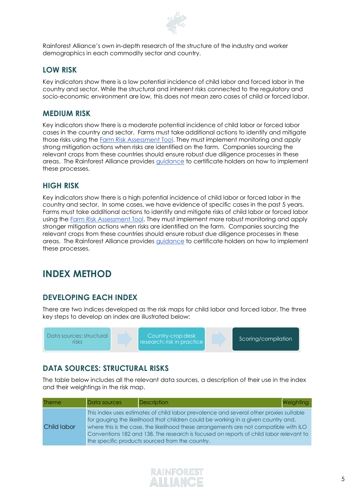

Rainforest Alliance's own in-depth research of the structure of the industry and worker demographics in each commodity sector and country.

#### <span id="page-4-0"></span>**LOW RISK**

Key indicators show there is a low potential incidence of child labor and forced labor in the country and sector. While the structural and inherent risks connected to the regulatory and socio-economic environment are low, this does not mean zero cases of child or forced labor.

#### <span id="page-4-1"></span>**MEDIUM RISK**

Key indicators show there is a moderate potential incidence of child labor or forced labor cases in the country and sector. Farms must take additional actions to identify and mitigate those risks using the [Farm Risk Assessment Tool.](https://www.rainforest-alliance.org/resource-item/annex-s3-risk-assessment-tool/) They must implement monitoring and apply strong mitigation actions when risks are identified on the farm. Companies sourcing the relevant crops from these countries should ensure robust due diligence processes in these areas. The Rainforest Alliance provides [guidance](https://www.rainforest-alliance.org/resource-item/guidance-document-l-assess-and-address/) to certificate holders on how to implement these processes.

#### <span id="page-4-2"></span>**HIGH RISK**

Key indicators show there is a high potential incidence of child labor or forced labor in the country and sector. In some cases, we have evidence of specific cases in the past 5 years. Farms must take additional actions to identify and mitigate risks of child labor or forced labor using the [Farm Risk Assessment Tool.](https://www.rainforest-alliance.org/resource-item/annex-s3-risk-assessment-tool/) They must implement more robust monitoring and apply stronger mitigation actions when risks are identified on the farm. Companies sourcing the relevant crops from these countries should ensure robust due diligence processes in these areas. The Rainforest Alliance provides [guidance](https://www.rainforest-alliance.org/resource-item/guidance-document-l-assess-and-address/) to certificate holders on how to implement these processes.

### <span id="page-4-3"></span>**INDEX METHOD**

#### <span id="page-4-4"></span>**DEVELOPING EACH INDEX**

There are two indices developed as the risk maps for child labor and forced labor. The three key steps to develop an index are illustrated below:

| Data sources: structural<br>risks | Country-crop desk<br>research: risk in practice | Scoring/compilation |
|-----------------------------------|-------------------------------------------------|---------------------|
|-----------------------------------|-------------------------------------------------|---------------------|

#### <span id="page-4-5"></span>**DATA SOURCES: STRUCTURAL RISKS**

The table below includes all the relevant data sources, a description of their use in the index and their weightings in the risk map.

| <b>Theme</b> | Data sources | Description                                                                                                                                                                                                                                                                                                                                                                                                       | Weighting |
|--------------|--------------|-------------------------------------------------------------------------------------------------------------------------------------------------------------------------------------------------------------------------------------------------------------------------------------------------------------------------------------------------------------------------------------------------------------------|-----------|
| Child labor  |              | This index uses estimates of child labor prevalence and several other proxies suitable<br>for gauging the likelihood that children could be working in a given country and,<br>where this is the case, the likelihood these arrangements are not compatible with ILO<br>Conventions 182 and 138. The research is focused on reports of child labor relevant to<br>the specific products sourced from the country. |           |

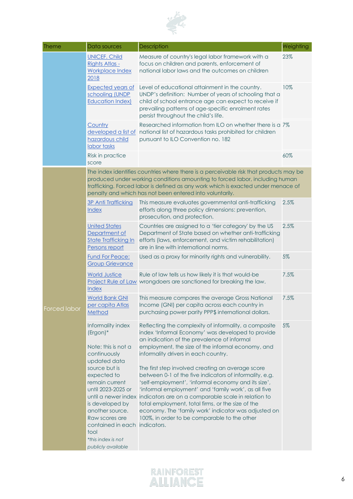

| <b>Theme</b> | Data sources                                                                                                                                                                                                                                                                                                           | Description                                                                                                                                                                                                                                                                                                                                                                                                                                                                                                                                                                                                                                                                                                                                  | Weighting |  |
|--------------|------------------------------------------------------------------------------------------------------------------------------------------------------------------------------------------------------------------------------------------------------------------------------------------------------------------------|----------------------------------------------------------------------------------------------------------------------------------------------------------------------------------------------------------------------------------------------------------------------------------------------------------------------------------------------------------------------------------------------------------------------------------------------------------------------------------------------------------------------------------------------------------------------------------------------------------------------------------------------------------------------------------------------------------------------------------------------|-----------|--|
|              | <b>UNICEF. Child</b><br>Rights Atlas -<br><b>Workplace Index</b><br>2018                                                                                                                                                                                                                                               | Measure of country's legal labor framework with a<br>focus on children and parents, enforcement of<br>national labor laws and the outcomes on children                                                                                                                                                                                                                                                                                                                                                                                                                                                                                                                                                                                       | 23%       |  |
|              | <b>Expected years of</b><br>schooling (UNDP<br><b>Education Index)</b>                                                                                                                                                                                                                                                 | Level of educational attainment in the country.<br>UNDP's definition: Number of years of schooling that a<br>child of school entrance age can expect to receive if<br>prevailing patterns of age-specific enrolment rates<br>persist throughout the child's life.                                                                                                                                                                                                                                                                                                                                                                                                                                                                            | 10%       |  |
|              | Country<br>developed a list of<br>hazardous child<br>labor tasks                                                                                                                                                                                                                                                       | Researched information from ILO on whether there is a 7%<br>national list of hazardous tasks prohibited for children<br>pursuant to ILO Convention no. 182                                                                                                                                                                                                                                                                                                                                                                                                                                                                                                                                                                                   |           |  |
|              | Risk in practice<br>score                                                                                                                                                                                                                                                                                              |                                                                                                                                                                                                                                                                                                                                                                                                                                                                                                                                                                                                                                                                                                                                              | 60%       |  |
|              | The index identifies countries where there is a perceivable risk that products may be<br>produced under working conditions amounting to forced labor, including human<br>trafficking. Forced labor is defined as any work which is exacted under menace of<br>penalty and which has not been entered into voluntarily. |                                                                                                                                                                                                                                                                                                                                                                                                                                                                                                                                                                                                                                                                                                                                              |           |  |
|              | 3P Anti Trafficking<br><b>Index</b>                                                                                                                                                                                                                                                                                    | This measure evaluates governmental anti-trafficking<br>efforts along three policy dimensions: prevention,<br>prosecution, and protection.                                                                                                                                                                                                                                                                                                                                                                                                                                                                                                                                                                                                   | 2.5%      |  |
|              | <b>United States</b><br>Department of<br><b>State Trafficking In</b><br>Persons report                                                                                                                                                                                                                                 | Countries are assigned to a 'tier category' by the US<br>Department of State based on whether anti-trafficking<br>efforts (laws, enforcement, and victim rehabilitation)<br>are in line with international norms.                                                                                                                                                                                                                                                                                                                                                                                                                                                                                                                            | 2.5%      |  |
|              | <b>Fund For Peace:</b><br><b>Group Grievance</b>                                                                                                                                                                                                                                                                       | Used as a proxy for minority rights and vulnerability.                                                                                                                                                                                                                                                                                                                                                                                                                                                                                                                                                                                                                                                                                       | 5%        |  |
|              | <b>World Justice</b><br>Index                                                                                                                                                                                                                                                                                          | Rule of law tells us how likely it is that would-be<br>Project Rule of Law wrongdoers are sanctioned for breaking the law.                                                                                                                                                                                                                                                                                                                                                                                                                                                                                                                                                                                                                   | 7.5%      |  |
| Forced labor | <b>World Bank GNI</b><br>per capita Atlas<br>Method                                                                                                                                                                                                                                                                    | This measure compares the average Gross National<br>Income (GNI) per capita across each country in<br>purchasing power parity PPP\$ international dollars.                                                                                                                                                                                                                                                                                                                                                                                                                                                                                                                                                                                   | 7.5%      |  |
|              | Informality index<br>$(Ergon)*$<br>Note: this is not a<br>continuously<br>updated data<br>source but is<br>expected to<br>remain current<br>until 2023-2025 or<br>is developed by<br>another source.<br>Raw scores are<br>contained in each<br>tool<br>*this index is not<br>publicly available                        | Reflecting the complexity of informality, a composite<br>index 'Informal Economy' was developed to provide<br>an indication of the prevalence of informal<br>employment, the size of the informal economy, and<br>informality drivers in each country.<br>The first step involved creating an average score<br>between 0-1 of the five indicators of informality, e.g.<br>'self-employment', 'informal economy and its size',<br>'informal employment' and 'family work', as all five<br>until a newer index indicators are on a comparable scale in relation to<br>total employment, total firms, or the size of the<br>economy. The 'family work' indicator was adjusted on<br>100%, in order to be comparable to the other<br>indicators. | 5%        |  |

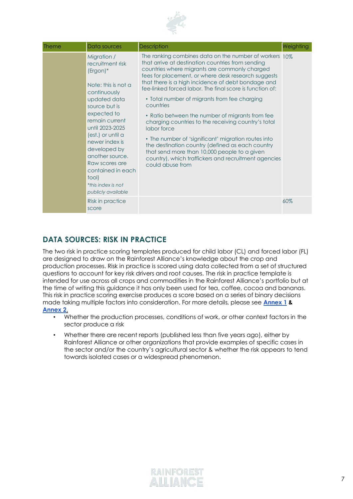

| <b>Theme</b> | Data sources                                                                                                                                                                                                                                                                                                                                    | Description                                                                                                                                                                                                                                                                                                                                                                                                                                                                                                                                                                                                                                                                                                                                                        | Weighting |
|--------------|-------------------------------------------------------------------------------------------------------------------------------------------------------------------------------------------------------------------------------------------------------------------------------------------------------------------------------------------------|--------------------------------------------------------------------------------------------------------------------------------------------------------------------------------------------------------------------------------------------------------------------------------------------------------------------------------------------------------------------------------------------------------------------------------------------------------------------------------------------------------------------------------------------------------------------------------------------------------------------------------------------------------------------------------------------------------------------------------------------------------------------|-----------|
|              | Migration /<br>recruitment risk<br>$(Ergon)*$<br>Note: this is not a<br>continuously<br>updated data<br>source but is<br>expected to<br>remain current<br>until 2023-2025<br>(est.) or until a<br>newer index is<br>developed by<br>another source.<br>Raw scores are<br>contained in each<br>tool)<br>*this index is not<br>publicly available | The ranking combines data on the number of workers 10%<br>that arrive at destination countries from sending<br>countries where migrants are commonly charged<br>fees for placement, or where desk research suggests<br>that there is a high incidence of debt bondage and<br>fee-linked forced labor. The final score is function of:<br>• Total number of migrants from fee charging<br>countries<br>• Ratio between the number of migrants from fee<br>charging countries to the receiving country's total<br>labor force<br>• The number of 'significant' migration routes into<br>the destination country (defined as each country<br>that send more than 10,000 people to a given<br>country), which traffickers and recruitment agencies<br>could abuse from |           |
|              | Risk in practice<br>score                                                                                                                                                                                                                                                                                                                       |                                                                                                                                                                                                                                                                                                                                                                                                                                                                                                                                                                                                                                                                                                                                                                    | 60%       |

#### <span id="page-6-0"></span>**DATA SOURCES: RISK IN PRACTICE**

The two risk in practice scoring templates produced for child labor (CL) and forced labor (FL) are designed to draw on the Rainforest Alliance's knowledge about the crop and production processes. Risk in practice is scored using data collected from a set of structured questions to account for key risk drivers and root causes. The risk in practice template is intended for use across all crops and commodities in the Rainforest Alliance's portfolio but at the time of writing this guidance it has only been used for tea, coffee, cocoa and bananas. This risk in practice scoring exercise produces a score based on a series of binary decisions made taking multiple factors into consideration. For more details, please see **Annex 1 & Annex 2**.

- Whether the production processes, conditions of work, or other context factors in the sector produce a risk
- Whether there are recent reports (published less than five years ago), either by Rainforest Alliance or other organizations that provide examples of specific cases in the sector and/or the country's agricultural sector & whether the risk appears to tend towards isolated cases or a widespread phenomenon.

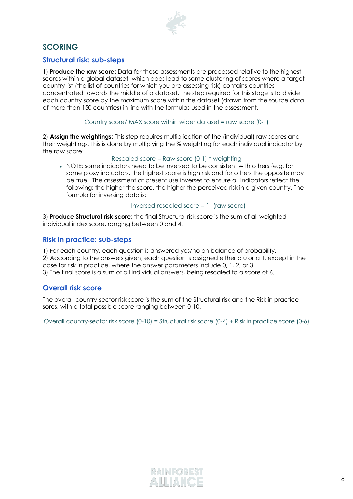

#### <span id="page-7-0"></span>**SCORING**

#### <span id="page-7-1"></span>**Structural risk: sub-steps**

1) **Produce the raw score**: Data for these assessments are processed relative to the highest scores within a global dataset, which does lead to some clustering of scores where a target country list (the list of countries for which you are assessing risk) contains countries concentrated towards the middle of a dataset. The step required for this stage is to divide each country score by the maximum score within the dataset (drawn from the source data of more than 150 countries) in line with the formulas used in the assessment.

Country score/ MAX score within wider dataset = raw score (0-1)

2) **Assign the weightings**: This step requires multiplication of the (individual) raw scores and their weightings. This is done by multiplying the % weighting for each individual indicator by the raw score:

Rescaled score = Raw score (0-1) \* weighting

• NOTE: some indicators need to be inversed to be consistent with others (e.g. for some proxy indicators, the highest score is high risk and for others the opposite may be true). The assessment at present use inverses to ensure all indicators reflect the following: the higher the score, the higher the perceived risk in a given country. The formula for inversing data is:

#### Inversed rescaled score = 1- (raw score)

3) **Produce Structural risk score**: the final Structural risk score is the sum of all weighted individual index score, ranging between 0 and 4.

#### <span id="page-7-2"></span>**Risk in practice: sub-steps**

1) For each country, each question is answered yes/no on balance of probability. 2) According to the answers given, each question is assigned either a 0 or a 1, except in the case for risk in practice, where the answer parameters include 0, 1, 2, or 3. 3) The final score is a sum of all individual answers, being rescaled to a score of 6.

#### <span id="page-7-3"></span>**Overall risk score**

The overall country-sector risk score is the sum of the Structural risk and the Risk in practice sores, with a total possible score ranging between 0-10.

Overall country-sector risk score (0-10) = Structural risk score (0-4) + Risk in practice score (0-6)

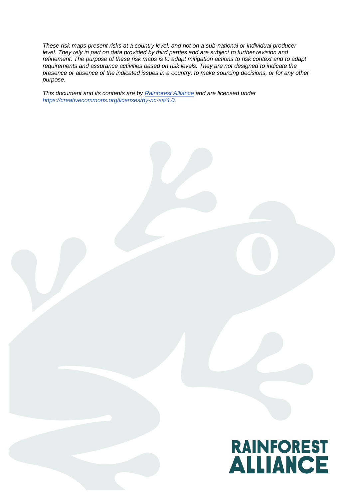*These risk maps present risks at a country level, and not on a sub-national or individual producer level. They rely in part on data provided by third parties and are subject to further revision and refinement. The purpose of these risk maps is to adapt mitigation actions to risk context and to adapt requirements and assurance activities based on risk levels. They are not designed to indicate the presence or absence of the indicated issues in a country, to make sourcing decisions, or for any other purpose.*

*This document and its contents are by [Rainforest Alliance](https://www.rainforest-alliance.org/) and are licensed under [https://creativecommons.org/licenses/by-nc-sa/4.0.](https://creativecommons.org/licenses/by-nc-sa/4.0)*

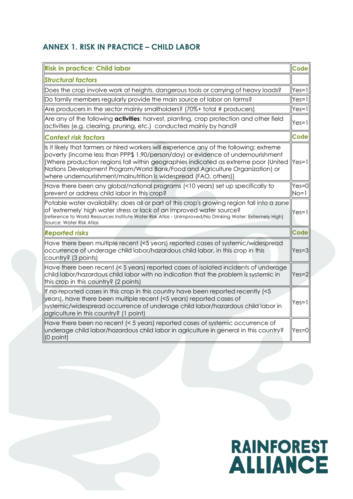#### <span id="page-9-0"></span>**ANNEX 1. RISK IN PRACTICE – CHILD LABOR**

| <b>Risk in practice: Child labor</b>                                                                                                                                                                                                                                                                                                                                                                                            | <b>Code</b>       |
|---------------------------------------------------------------------------------------------------------------------------------------------------------------------------------------------------------------------------------------------------------------------------------------------------------------------------------------------------------------------------------------------------------------------------------|-------------------|
| <b>Structural factors</b>                                                                                                                                                                                                                                                                                                                                                                                                       |                   |
| Does the crop involve work at heights, dangerous tools or carrying of heavy loads?                                                                                                                                                                                                                                                                                                                                              | $Yes=1$           |
| Do family members regularly provide the main source of labor on farms?                                                                                                                                                                                                                                                                                                                                                          | $Yes=1$           |
| Are producers in the sector mainly smallholders? (70%+ total # producers)                                                                                                                                                                                                                                                                                                                                                       | $Yes=1$           |
| Are any of the following <b>activities</b> : harvest, planting, crop protection and other field<br>activities (e.g. clearing, pruning, etc.) conducted mainly by hand?                                                                                                                                                                                                                                                          | $Yes=1$           |
| <b>Context risk factors</b>                                                                                                                                                                                                                                                                                                                                                                                                     | Code              |
| Is it likely that farmers or hired workers will experience any of the following: extreme<br>poverty (income less than PPP\$ 1.90/person/day) or evidence of undernourishment<br>[Where production regions fall within geographies indicated as extreme poor (United  Yes=1)<br>Nations Development Program/World Bank/Food and Agriculture Organization) or<br>where undernourishment/malnutrition is widespread (FAO, others)] |                   |
| Have there been any global/national programs (<10 years) set up specifically to<br>prevent or address child labor in this crop?                                                                                                                                                                                                                                                                                                 | $Yes=0$<br>$No=1$ |
| Potable water availability: does all or part of this crop's growing region fall into a zone<br>of 'extremely' high water stress or lack of an improved water source?<br>(reference to World Resources Institute Water Risk Atlas - Unimproved/No Drinking Water: Extremely High)<br>Source: Water Risk Atlas                                                                                                                    | $Yes=1$           |
| <b>Reported risks</b>                                                                                                                                                                                                                                                                                                                                                                                                           | <b>Code</b>       |
| Have there been multiple recent (<5 years) reported cases of systemic/widespread<br>occurrence of underage child labor/hazardous child labor, in this crop in this<br>country? (3 points)                                                                                                                                                                                                                                       | $Yes=3$           |
| Have there been recent (< 5 years) reported cases of isolated incidents of underage<br>child labor/hazardous child labor with no indication that the problem is systemic in<br>this crop in this country? (2 points)                                                                                                                                                                                                            | $Yes=2$           |
| If no reported cases in this crop in this country have been reported recently (<5<br>years), have there been multiple recent (<5 years) reported cases of<br>systemic/widespread occurrence of underage child labor/hazardous child labor in<br>agriculture in this country? (1 point)                                                                                                                                          | $Yes=1$           |
| Have there been no recent (< 5 years) reported cases of systemic occurrence of<br>underage child labor/hazardous child labor in agriculture in general in this country?<br>$(0$ point)                                                                                                                                                                                                                                          | $Yes = 0$         |